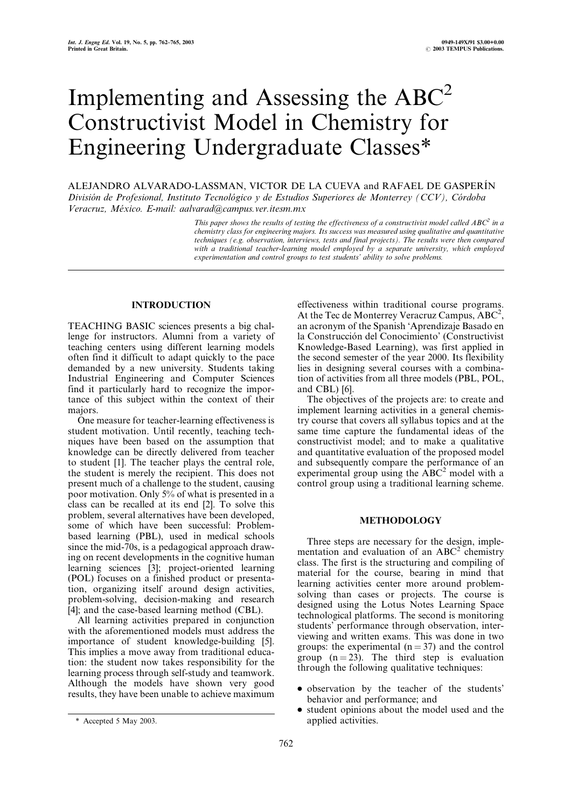# Implementing and Assessing the  $ABC^2$ Constructivist Model in Chemistry for Engineering Undergraduate Classes\*

ALEJANDRO ALVARADO-LASSMAN, VICTOR DE LA CUEVA and RAFAEL DE GASPERIÂN División de Profesional, Instituto Tecnológico y de Estudios Superiores de Monterrey (CCV), Córdoba  $Veracruz, México, E-mail: aalvard@campus.ver.itesm.mx$ 

> This paper shows the results of testing the effectiveness of a constructivist model called ABC<sup>2</sup> in a chemistry class for engineering majors. Its success was measured using qualitative and quantitative techniques (e.g. observation, interviews, tests and final projects). The results were then compared with a traditional teacher-learning model employed by a separate university, which employed experimentation and control groups to test students' ability to solve problems.

# INTRODUCTION

TEACHING BASIC sciences presents a big challenge for instructors. Alumni from a variety of teaching centers using different learning models often find it difficult to adapt quickly to the pace demanded by a new university. Students taking Industrial Engineering and Computer Sciences find it particularly hard to recognize the importance of this subject within the context of their majors.

One measure for teacher-learning effectiveness is student motivation. Until recently, teaching techniques have been based on the assumption that knowledge can be directly delivered from teacher to student [1]. The teacher plays the central role, the student is merely the recipient. This does not present much of a challenge to the student, causing poor motivation. Only 5% of what is presented in a class can be recalled at its end [2]. To solve this problem, several alternatives have been developed, some of which have been successful: Problembased learning (PBL), used in medical schools since the mid-70s, is a pedagogical approach drawing on recent developments in the cognitive human learning sciences [3]; project-oriented learning (POL) focuses on a finished product or presentation, organizing itself around design activities, problem-solving, decision-making and research [4]; and the case-based learning method (CBL).

All learning activities prepared in conjunction with the aforementioned models must address the importance of student knowledge-building [5]. This implies a move away from traditional education: the student now takes responsibility for the learning process through self-study and teamwork. Although the models have shown very good results, they have been unable to achieve maximum

The objectives of the projects are: to create and implement learning activities in a general chemistry course that covers all syllabus topics and at the same time capture the fundamental ideas of the constructivist model; and to make a qualitative and quantitative evaluation of the proposed model and subsequently compare the performance of an experimental group using the  $\widehat{ABC}^2$  model with a control group using a traditional learning scheme.

# **METHODOLOGY**

Three steps are necessary for the design, implementation and evaluation of an  $ABC<sup>2</sup>$  chemistry class. The first is the structuring and compiling of material for the course, bearing in mind that learning activities center more around problemsolving than cases or projects. The course is designed using the Lotus Notes Learning Space technological platforms. The second is monitoring students' performance through observation, interviewing and written exams. This was done in two groups: the experimental  $(n = 37)$  and the control group  $(n = 23)$ . The third step is evaluation through the following qualitative techniques:

- . observation by the teacher of the students' behavior and performance; and
- . student opinions about the model used and the \* Accepted 5 May 2003. applied activities.

effectiveness within traditional course programs. At the Tec de Monterrey Veracruz Campus, ABC<sup>2</sup>, an acronym of the Spanish `Aprendizaje Basado en la Construcción del Conocimiento' (Constructivist Knowledge-Based Learning), was first applied in the second semester of the year 2000. Its flexibility lies in designing several courses with a combination of activities from all three models (PBL, POL, and CBL) [6].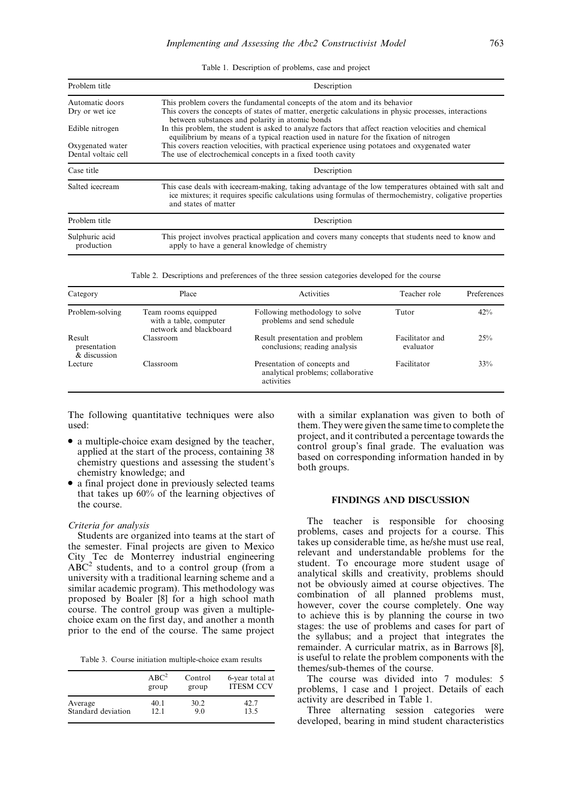Table 1. Description of problems, case and project

| Problem title                | Description                                                                                                                                                                                                                               |  |  |
|------------------------------|-------------------------------------------------------------------------------------------------------------------------------------------------------------------------------------------------------------------------------------------|--|--|
| Automatic doors              | This problem covers the fundamental concepts of the atom and its behavior                                                                                                                                                                 |  |  |
| Dry or wet ice               | This covers the concepts of states of matter, energetic calculations in physic processes, interactions<br>between substances and polarity in atomic bonds                                                                                 |  |  |
| Edible nitrogen              | In this problem, the student is asked to analyze factors that affect reaction velocities and chemical<br>equilibrium by means of a typical reaction used in nature for the fixation of nitrogen                                           |  |  |
| Oxygenated water             | This covers reaction velocities, with practical experience using potatoes and oxygenated water                                                                                                                                            |  |  |
| Dental voltaic cell          | The use of electrochemical concepts in a fixed tooth cavity                                                                                                                                                                               |  |  |
| Case title                   | Description                                                                                                                                                                                                                               |  |  |
| Salted icecream              | This case deals with icecream-making, taking advantage of the low temperatures obtained with salt and<br>ice mixtures; it requires specific calculations using formulas of thermochemistry, coligative properties<br>and states of matter |  |  |
| Problem title                | Description                                                                                                                                                                                                                               |  |  |
| Sulphuric acid<br>production | This project involves practical application and covers many concepts that students need to know and<br>apply to have a general knowledge of chemistry                                                                                     |  |  |

Table 2. Descriptions and preferences of the three session categories developed for the course

| Category                               | Place                                                                   | Activities                                                                       | Teacher role                 | Preferences |
|----------------------------------------|-------------------------------------------------------------------------|----------------------------------------------------------------------------------|------------------------------|-------------|
| Problem-solving                        | Team rooms equipped<br>with a table, computer<br>network and blackboard | Following methodology to solve<br>problems and send schedule                     | Tutor                        | 42%         |
| Result<br>presentation<br>& discussion | Classroom                                                               | Result presentation and problem<br>conclusions; reading analysis                 | Facilitator and<br>evaluator | 25%         |
| Lecture                                | Classroom                                                               | Presentation of concepts and<br>analytical problems; collaborative<br>activities | Facilitator                  | 33%         |

The following quantitative techniques were also used:

- . a multiple-choice exam designed by the teacher, applied at the start of the process, containing 38 chemistry questions and assessing the student's chemistry knowledge; and
- . a final project done in previously selected teams that takes up 60% of the learning objectives of the course.

#### Criteria for analysis

Students are organized into teams at the start of the semester. Final projects are given to Mexico City Tec de Monterrey industrial engineering  $ABC<sup>2</sup>$  students, and to a control group (from a university with a traditional learning scheme and a similar academic program). This methodology was proposed by Boaler [8] for a high school math course. The control group was given a multiplechoice exam on the first day, and another a month prior to the end of the course. The same project

Table 3. Course initiation multiple-choice exam results

|                    | $ABC^2$ | Control | 6-year total at  |
|--------------------|---------|---------|------------------|
|                    | group   | group   | <b>ITESM CCV</b> |
| Average            | 40.1    | 30.2    | 42.7             |
| Standard deviation | 12 1    | 9.0     | 13.5             |

with a similar explanation was given to both of them.They were given the same time to complete the project, and it contributed a percentage towards the control group's final grade. The evaluation was based on corresponding information handed in by both groups.

# FINDINGS AND DISCUSSION

The teacher is responsible for choosing problems, cases and projects for a course. This takes up considerable time, as he/she must use real, relevant and understandable problems for the student. To encourage more student usage of analytical skills and creativity, problems should not be obviously aimed at course objectives. The combination of all planned problems must, however, cover the course completely. One way to achieve this is by planning the course in two stages: the use of problems and cases for part of the syllabus; and a project that integrates the remainder. A curricular matrix, as in Barrows [8], is useful to relate the problem components with the themes/sub-themes of the course.

The course was divided into 7 modules: 5 problems, 1 case and 1 project. Details of each activity are described in Table 1.

Three alternating session categories were developed, bearing in mind student characteristics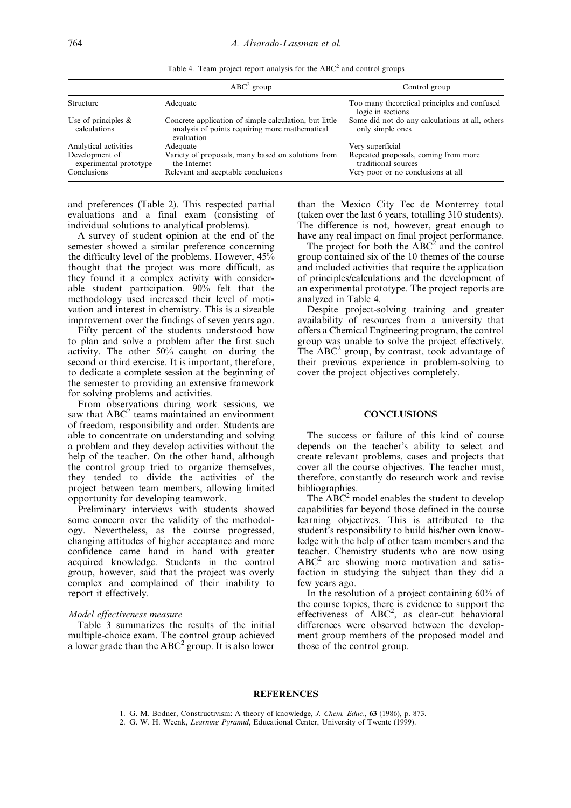Table 4. Team project report analysis for the  $ABC^2$  and control groups

|                                          | $ABC2$ group                                                                                                           | Control group                                                       |
|------------------------------------------|------------------------------------------------------------------------------------------------------------------------|---------------------------------------------------------------------|
| Structure                                | Adequate                                                                                                               | Too many theoretical principles and confused<br>logic in sections   |
| Use of principles $\&$<br>calculations   | Concrete application of simple calculation, but little<br>analysis of points requiring more mathematical<br>evaluation | Some did not do any calculations at all, others<br>only simple ones |
| Analytical activities                    | Adequate                                                                                                               | Very superficial                                                    |
| Development of<br>experimental prototype | Variety of proposals, many based on solutions from<br>the Internet                                                     | Repeated proposals, coming from more<br>traditional sources         |
| Conclusions                              | Relevant and aceptable conclusions                                                                                     | Very poor or no conclusions at all                                  |

and preferences (Table 2). This respected partial evaluations and a final exam (consisting of individual solutions to analytical problems).

A survey of student opinion at the end of the semester showed a similar preference concerning the difficulty level of the problems. However, 45% thought that the project was more difficult, as they found it a complex activity with considerable student participation. 90% felt that the methodology used increased their level of motivation and interest in chemistry. This is a sizeable improvement over the findings of seven years ago.

Fifty percent of the students understood how to plan and solve a problem after the first such activity. The other 50% caught on during the second or third exercise. It is important, therefore, to dedicate a complete session at the beginning of the semester to providing an extensive framework for solving problems and activities.

From observations during work sessions, we saw that  $ABC^2$  teams maintained an environment of freedom, responsibility and order. Students are able to concentrate on understanding and solving a problem and they develop activities without the help of the teacher. On the other hand, although the control group tried to organize themselves, they tended to divide the activities of the project between team members, allowing limited opportunity for developing teamwork.

Preliminary interviews with students showed some concern over the validity of the methodology. Nevertheless, as the course progressed, changing attitudes of higher acceptance and more confidence came hand in hand with greater acquired knowledge. Students in the control group, however, said that the project was overly complex and complained of their inability to report it effectively.

### Model effectiveness measure

Table 3 summarizes the results of the initial multiple-choice exam. The control group achieved a lower grade than the  $ABC^2$  group. It is also lower than the Mexico City Tec de Monterrey total (taken over the last 6 years, totalling 310 students). The difference is not, however, great enough to have any real impact on final project performance.

The project for both the  $ABC^2$  and the control group contained six of the 10 themes of the course and included activities that require the application of principles/calculations and the development of an experimental prototype. The project reports are analyzed in Table 4.

Despite project-solving training and greater availability of resources from a university that offers a Chemical Engineering program, the control group was unable to solve the project effectively. The  $ABC^2$  group, by contrast, took advantage of their previous experience in problem-solving to cover the project objectives completely.

## **CONCLUSIONS**

The success or failure of this kind of course depends on the teacher's ability to select and create relevant problems, cases and projects that cover all the course objectives. The teacher must, therefore, constantly do research work and revise bibliographies.

The  $ABC^2$  model enables the student to develop capabilities far beyond those defined in the course learning objectives. This is attributed to the student's responsibility to build his/her own knowledge with the help of other team members and the teacher. Chemistry students who are now using  $ABC<sup>2</sup>$  are showing more motivation and satisfaction in studying the subject than they did a few years ago.

In the resolution of a project containing 60% of the course topics, there is evidence to support the effectiveness of  $\angle ABC^2$ , as clear-cut behavioral differences were observed between the development group members of the proposed model and those of the control group.

## **REFERENCES**

1. G. M. Bodner, Constructivism: A theory of knowledge, J. Chem. Educ., 63 (1986), p. 873.

2. G. W. H. Weenk, Learning Pyramid, Educational Center, University of Twente (1999).